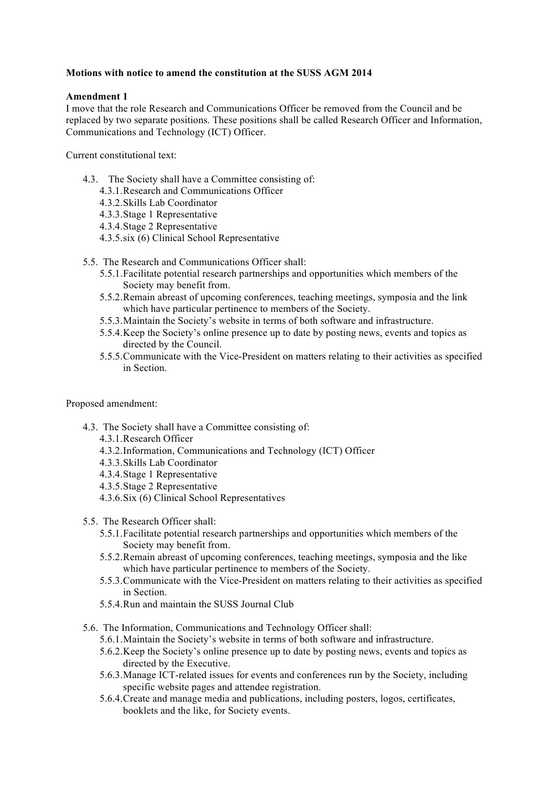# **Motions with notice to amend the constitution at the SUSS AGM 2014**

# **Amendment 1**

I move that the role Research and Communications Officer be removed from the Council and be replaced by two separate positions. These positions shall be called Research Officer and Information, Communications and Technology (ICT) Officer.

Current constitutional text:

- 4.3. The Society shall have a Committee consisting of:
	- 4.3.1.Research and Communications Officer
	- 4.3.2.Skills Lab Coordinator
	- 4.3.3.Stage 1 Representative
	- 4.3.4.Stage 2 Representative
	- 4.3.5.six (6) Clinical School Representative
- 5.5. The Research and Communications Officer shall:
	- 5.5.1.Facilitate potential research partnerships and opportunities which members of the Society may benefit from.
	- 5.5.2.Remain abreast of upcoming conferences, teaching meetings, symposia and the link which have particular pertinence to members of the Society.
	- 5.5.3.Maintain the Society's website in terms of both software and infrastructure.
	- 5.5.4.Keep the Society's online presence up to date by posting news, events and topics as directed by the Council.
	- 5.5.5.Communicate with the Vice-President on matters relating to their activities as specified in Section.

#### Proposed amendment:

- 4.3. The Society shall have a Committee consisting of:
	- 4.3.1.Research Officer
	- 4.3.2.Information, Communications and Technology (ICT) Officer
	- 4.3.3.Skills Lab Coordinator
	- 4.3.4.Stage 1 Representative
	- 4.3.5.Stage 2 Representative
	- 4.3.6.Six (6) Clinical School Representatives
- 5.5. The Research Officer shall:
	- 5.5.1.Facilitate potential research partnerships and opportunities which members of the Society may benefit from.
	- 5.5.2.Remain abreast of upcoming conferences, teaching meetings, symposia and the like which have particular pertinence to members of the Society.
	- 5.5.3.Communicate with the Vice-President on matters relating to their activities as specified in Section.
	- 5.5.4.Run and maintain the SUSS Journal Club
- 5.6. The Information, Communications and Technology Officer shall:
	- 5.6.1.Maintain the Society's website in terms of both software and infrastructure.
	- 5.6.2.Keep the Society's online presence up to date by posting news, events and topics as directed by the Executive.
	- 5.6.3.Manage ICT-related issues for events and conferences run by the Society, including specific website pages and attendee registration.
	- 5.6.4.Create and manage media and publications, including posters, logos, certificates, booklets and the like, for Society events.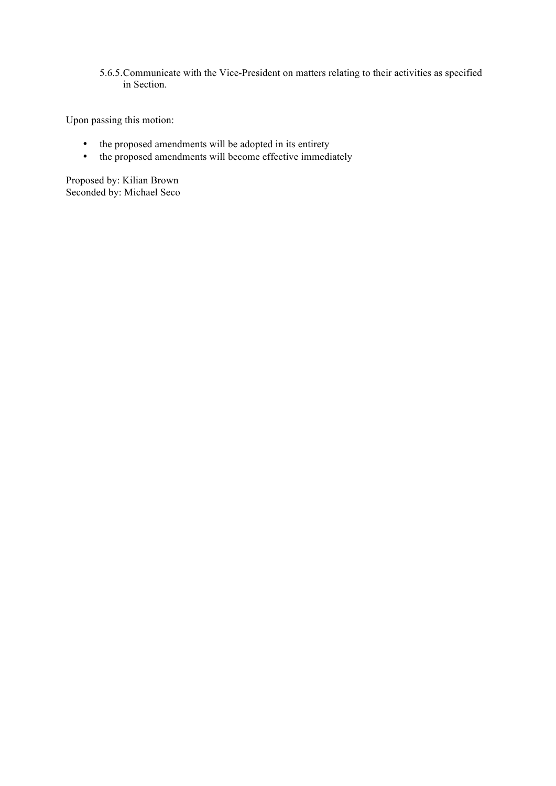5.6.5.Communicate with the Vice-President on matters relating to their activities as specified in Section.

Upon passing this motion:

- the proposed amendments will be adopted in its entirety
- the proposed amendments will become effective immediately

Proposed by: Kilian Brown Seconded by: Michael Seco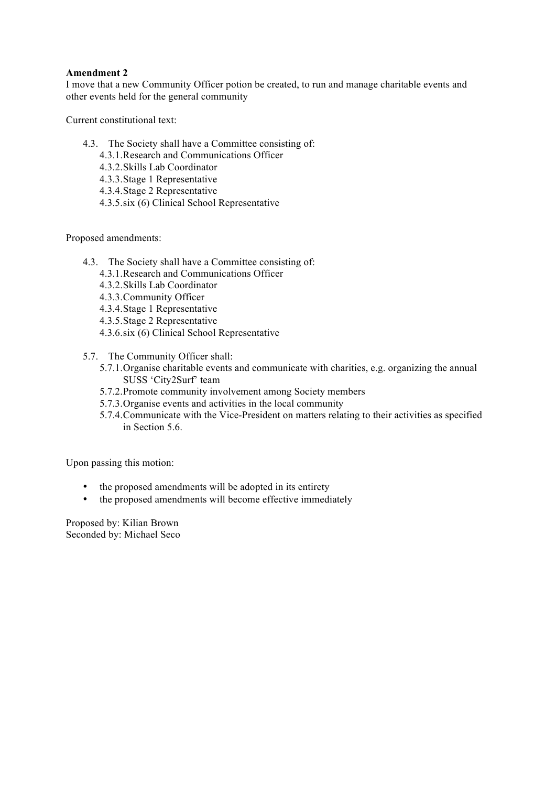# **Amendment 2**

I move that a new Community Officer potion be created, to run and manage charitable events and other events held for the general community

Current constitutional text:

- 4.3. The Society shall have a Committee consisting of:
	- 4.3.1.Research and Communications Officer
	- 4.3.2.Skills Lab Coordinator
	- 4.3.3.Stage 1 Representative
	- 4.3.4.Stage 2 Representative
	- 4.3.5.six (6) Clinical School Representative

Proposed amendments:

- 4.3. The Society shall have a Committee consisting of:
	- 4.3.1.Research and Communications Officer
	- 4.3.2.Skills Lab Coordinator
	- 4.3.3.Community Officer
	- 4.3.4.Stage 1 Representative
	- 4.3.5.Stage 2 Representative
	- 4.3.6.six (6) Clinical School Representative
- 5.7. The Community Officer shall:
	- 5.7.1.Organise charitable events and communicate with charities, e.g. organizing the annual SUSS 'City2Surf' team
	- 5.7.2.Promote community involvement among Society members
	- 5.7.3.Organise events and activities in the local community
	- 5.7.4.Communicate with the Vice-President on matters relating to their activities as specified in Section 5.6.

Upon passing this motion:

- the proposed amendments will be adopted in its entirety
- the proposed amendments will become effective immediately

Proposed by: Kilian Brown Seconded by: Michael Seco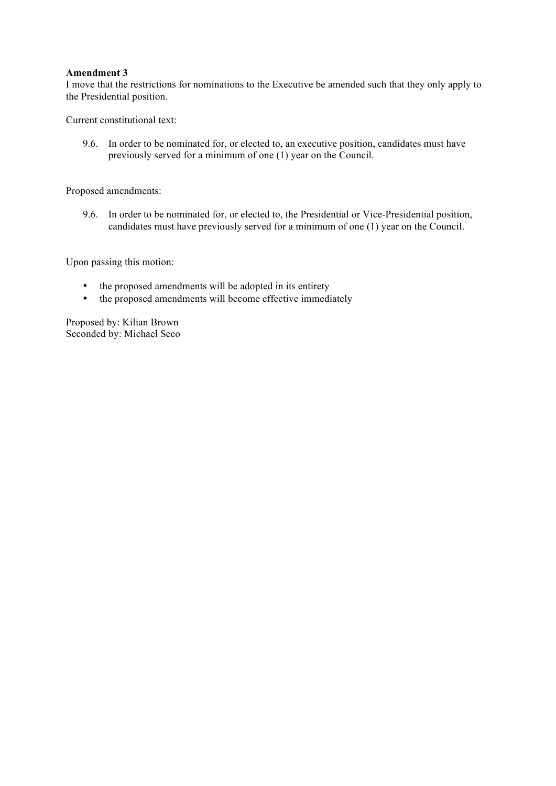### **Amendment 3**

I move that the restrictions for nominations to the Executive be amended such that they only apply to the Presidential position.

Current constitutional text:

9.6. In order to be nominated for, or elected to, an executive position, candidates must have previously served for a minimum of one (1) year on the Council.

Proposed amendments:

9.6. In order to be nominated for, or elected to, the Presidential or Vice-Presidential position, candidates must have previously served for a minimum of one (1) year on the Council.

Upon passing this motion:

- the proposed amendments will be adopted in its entirety
- the proposed amendments will become effective immediately

Proposed by: Kilian Brown Seconded by: Michael Seco